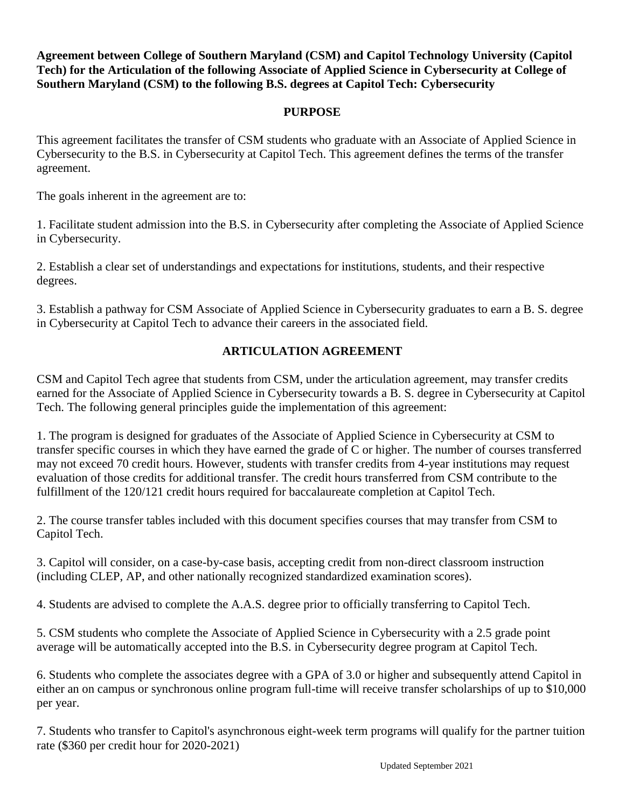**Agreement between College of Southern Maryland (CSM) and Capitol Technology University (Capitol Tech) for the Articulation of the following Associate of Applied Science in Cybersecurity at College of Southern Maryland (CSM) to the following B.S. degrees at Capitol Tech: Cybersecurity**

## **PURPOSE**

This agreement facilitates the transfer of CSM students who graduate with an Associate of Applied Science in Cybersecurity to the B.S. in Cybersecurity at Capitol Tech. This agreement defines the terms of the transfer agreement.

The goals inherent in the agreement are to:

1. Facilitate student admission into the B.S. in Cybersecurity after completing the Associate of Applied Science in Cybersecurity.

2. Establish a clear set of understandings and expectations for institutions, students, and their respective degrees.

3. Establish a pathway for CSM Associate of Applied Science in Cybersecurity graduates to earn a B. S. degree in Cybersecurity at Capitol Tech to advance their careers in the associated field.

## **ARTICULATION AGREEMENT**

CSM and Capitol Tech agree that students from CSM, under the articulation agreement, may transfer credits earned for the Associate of Applied Science in Cybersecurity towards a B. S. degree in Cybersecurity at Capitol Tech. The following general principles guide the implementation of this agreement:

1. The program is designed for graduates of the Associate of Applied Science in Cybersecurity at CSM to transfer specific courses in which they have earned the grade of C or higher. The number of courses transferred may not exceed 70 credit hours. However, students with transfer credits from 4-year institutions may request evaluation of those credits for additional transfer. The credit hours transferred from CSM contribute to the fulfillment of the 120/121 credit hours required for baccalaureate completion at Capitol Tech.

2. The course transfer tables included with this document specifies courses that may transfer from CSM to Capitol Tech.

3. Capitol will consider, on a case-by-case basis, accepting credit from non-direct classroom instruction (including CLEP, AP, and other nationally recognized standardized examination scores).

4. Students are advised to complete the A.A.S. degree prior to officially transferring to Capitol Tech.

5. CSM students who complete the Associate of Applied Science in Cybersecurity with a 2.5 grade point average will be automatically accepted into the B.S. in Cybersecurity degree program at Capitol Tech.

6. Students who complete the associates degree with a GPA of 3.0 or higher and subsequently attend Capitol in either an on campus or synchronous online program full-time will receive transfer scholarships of up to \$10,000 per year.

7. Students who transfer to Capitol's asynchronous eight-week term programs will qualify for the partner tuition rate (\$360 per credit hour for 2020-2021)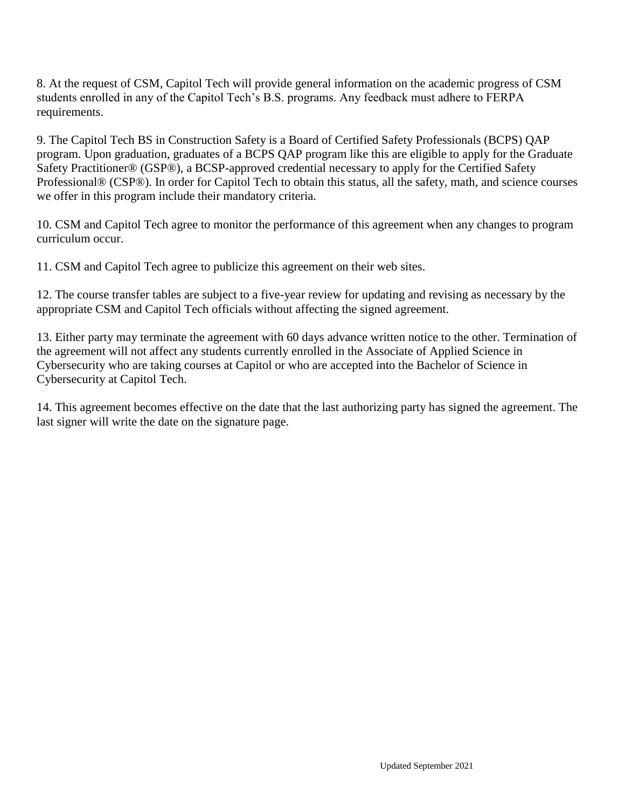8. At the request of CSM, Capitol Tech will provide general information on the academic progress of CSM students enrolled in any of the Capitol Tech's B.S. programs. Any feedback must adhere to FERPA requirements.

9. The Capitol Tech BS in Construction Safety is a Board of Certified Safety Professionals (BCPS) QAP program. Upon graduation, graduates of a BCPS QAP program like this are eligible to apply for the Graduate Safety Practitioner® (GSP®), a BCSP-approved credential necessary to apply for the Certified Safety Professional® (CSP®). In order for Capitol Tech to obtain this status, all the safety, math, and science courses we offer in this program include their mandatory criteria.

10. CSM and Capitol Tech agree to monitor the performance of this agreement when any changes to program curriculum occur.

11. CSM and Capitol Tech agree to publicize this agreement on their web sites.

12. The course transfer tables are subject to a five-year review for updating and revising as necessary by the appropriate CSM and Capitol Tech officials without affecting the signed agreement.

13. Either party may terminate the agreement with 60 days advance written notice to the other. Termination of the agreement will not affect any students currently enrolled in the Associate of Applied Science in Cybersecurity who are taking courses at Capitol or who are accepted into the Bachelor of Science in Cybersecurity at Capitol Tech.

14. This agreement becomes effective on the date that the last authorizing party has signed the agreement. The last signer will write the date on the signature page.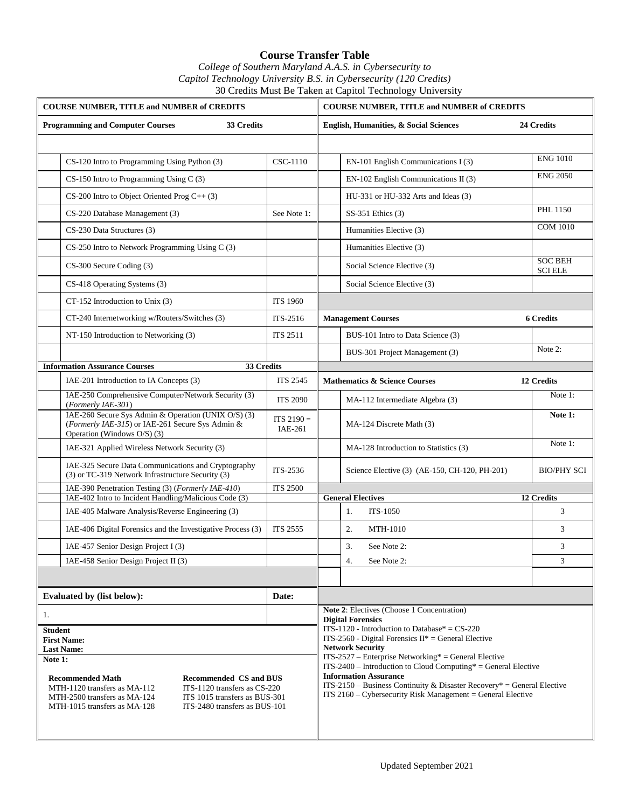## **Course Transfer Table** *College of Southern Maryland A.A.S. in Cybersecurity to Capitol Technology University B.S. in Cybersecurity (120 Credits)* 30 Credits Must Be Taken at Capitol Technology University

|                                                       | <b>COURSE NUMBER, TITLE and NUMBER of CREDITS</b>                                                                                                                                                                                                                                                     |                 | <b>COURSE NUMBER, TITLE and NUMBER of CREDITS</b>                                                                                                                                                                                                                                                                                                                                                                                                   |  |  |  |
|-------------------------------------------------------|-------------------------------------------------------------------------------------------------------------------------------------------------------------------------------------------------------------------------------------------------------------------------------------------------------|-----------------|-----------------------------------------------------------------------------------------------------------------------------------------------------------------------------------------------------------------------------------------------------------------------------------------------------------------------------------------------------------------------------------------------------------------------------------------------------|--|--|--|
| <b>Programming and Computer Courses</b><br>33 Credits |                                                                                                                                                                                                                                                                                                       |                 | English, Humanities, & Social Sciences<br>24 Credits                                                                                                                                                                                                                                                                                                                                                                                                |  |  |  |
|                                                       |                                                                                                                                                                                                                                                                                                       |                 |                                                                                                                                                                                                                                                                                                                                                                                                                                                     |  |  |  |
|                                                       | CS-120 Intro to Programming Using Python (3)                                                                                                                                                                                                                                                          | CSC-1110        | <b>ENG 1010</b><br>EN-101 English Communications I (3)                                                                                                                                                                                                                                                                                                                                                                                              |  |  |  |
|                                                       | CS-150 Intro to Programming Using C (3)                                                                                                                                                                                                                                                               |                 | <b>ENG 2050</b><br>EN-102 English Communications II (3)                                                                                                                                                                                                                                                                                                                                                                                             |  |  |  |
|                                                       | $CS-200$ Intro to Object Oriented Prog $C++(3)$                                                                                                                                                                                                                                                       |                 | HU-331 or HU-332 Arts and Ideas (3)                                                                                                                                                                                                                                                                                                                                                                                                                 |  |  |  |
|                                                       | CS-220 Database Management (3)                                                                                                                                                                                                                                                                        | See Note 1:     | <b>PHL 1150</b><br>$SS-351$ Ethics $(3)$                                                                                                                                                                                                                                                                                                                                                                                                            |  |  |  |
|                                                       | CS-230 Data Structures (3)                                                                                                                                                                                                                                                                            |                 | <b>COM 1010</b><br>Humanities Elective (3)                                                                                                                                                                                                                                                                                                                                                                                                          |  |  |  |
|                                                       | CS-250 Intro to Network Programming Using C (3)                                                                                                                                                                                                                                                       |                 | Humanities Elective (3)                                                                                                                                                                                                                                                                                                                                                                                                                             |  |  |  |
|                                                       | CS-300 Secure Coding (3)                                                                                                                                                                                                                                                                              |                 | <b>SOC BEH</b><br>Social Science Elective (3)<br><b>SCI ELE</b>                                                                                                                                                                                                                                                                                                                                                                                     |  |  |  |
|                                                       | CS-418 Operating Systems (3)                                                                                                                                                                                                                                                                          |                 | Social Science Elective (3)                                                                                                                                                                                                                                                                                                                                                                                                                         |  |  |  |
|                                                       | CT-152 Introduction to Unix (3)                                                                                                                                                                                                                                                                       | <b>ITS 1960</b> |                                                                                                                                                                                                                                                                                                                                                                                                                                                     |  |  |  |
|                                                       | CT-240 Internetworking w/Routers/Switches (3)                                                                                                                                                                                                                                                         | ITS-2516        | <b>Management Courses</b><br><b>6 Credits</b>                                                                                                                                                                                                                                                                                                                                                                                                       |  |  |  |
|                                                       | NT-150 Introduction to Networking (3)                                                                                                                                                                                                                                                                 | <b>ITS 2511</b> | BUS-101 Intro to Data Science (3)                                                                                                                                                                                                                                                                                                                                                                                                                   |  |  |  |
|                                                       |                                                                                                                                                                                                                                                                                                       |                 | Note 2:<br>BUS-301 Project Management (3)                                                                                                                                                                                                                                                                                                                                                                                                           |  |  |  |
| <b>Information Assurance Courses</b><br>33 Credits    |                                                                                                                                                                                                                                                                                                       |                 |                                                                                                                                                                                                                                                                                                                                                                                                                                                     |  |  |  |
|                                                       | IAE-201 Introduction to IA Concepts (3)                                                                                                                                                                                                                                                               | <b>ITS 2545</b> | <b>Mathematics &amp; Science Courses</b><br>12 Credits                                                                                                                                                                                                                                                                                                                                                                                              |  |  |  |
|                                                       | IAE-250 Comprehensive Computer/Network Security (3)<br>(Formerly IAE-301)                                                                                                                                                                                                                             | <b>ITS 2090</b> | Note 1:<br>MA-112 Intermediate Algebra (3)                                                                                                                                                                                                                                                                                                                                                                                                          |  |  |  |
|                                                       | IAE-260 Secure Sys Admin & Operation (UNIX O/S) (3)<br>(Formerly IAE-315) or IAE-261 Secure Sys Admin &<br>Operation (Windows O/S) (3)                                                                                                                                                                |                 | Note 1:<br>MA-124 Discrete Math (3)                                                                                                                                                                                                                                                                                                                                                                                                                 |  |  |  |
|                                                       | IAE-321 Applied Wireless Network Security (3)                                                                                                                                                                                                                                                         |                 | Note 1:<br>MA-128 Introduction to Statistics (3)                                                                                                                                                                                                                                                                                                                                                                                                    |  |  |  |
|                                                       | IAE-325 Secure Data Communications and Cryptography<br>(3) or TC-319 Network Infrastructure Security (3)                                                                                                                                                                                              |                 | Science Elective (3) (AE-150, CH-120, PH-201)<br><b>BIO/PHY SCI</b>                                                                                                                                                                                                                                                                                                                                                                                 |  |  |  |
|                                                       | IAE-390 Penetration Testing (3) (Formerly IAE-410)                                                                                                                                                                                                                                                    | <b>ITS 2500</b> |                                                                                                                                                                                                                                                                                                                                                                                                                                                     |  |  |  |
|                                                       | IAE-402 Intro to Incident Handling/Malicious Code (3)<br>IAE-405 Malware Analysis/Reverse Engineering (3)                                                                                                                                                                                             |                 | <b>General Electives</b><br>12 Credits<br>1.<br>3<br><b>ITS-1050</b>                                                                                                                                                                                                                                                                                                                                                                                |  |  |  |
|                                                       | IAE-406 Digital Forensics and the Investigative Process (3)                                                                                                                                                                                                                                           | <b>ITS 2555</b> | 2.<br>3<br>MTH-1010                                                                                                                                                                                                                                                                                                                                                                                                                                 |  |  |  |
|                                                       | IAE-457 Senior Design Project I (3)                                                                                                                                                                                                                                                                   |                 | 3.<br>See Note 2:<br>3                                                                                                                                                                                                                                                                                                                                                                                                                              |  |  |  |
|                                                       | IAE-458 Senior Design Project II $(3)$                                                                                                                                                                                                                                                                |                 | 3<br>4.<br>See Note 2:                                                                                                                                                                                                                                                                                                                                                                                                                              |  |  |  |
|                                                       |                                                                                                                                                                                                                                                                                                       |                 |                                                                                                                                                                                                                                                                                                                                                                                                                                                     |  |  |  |
| Evaluated by (list below):<br>Date:                   |                                                                                                                                                                                                                                                                                                       |                 |                                                                                                                                                                                                                                                                                                                                                                                                                                                     |  |  |  |
| 1.                                                    |                                                                                                                                                                                                                                                                                                       |                 | Note 2: Electives (Choose 1 Concentration)<br><b>Digital Forensics</b>                                                                                                                                                                                                                                                                                                                                                                              |  |  |  |
| <b>Student</b><br>Note 1:                             | <b>First Name:</b><br><b>Last Name:</b><br><b>Recommended Math</b><br><b>Recommended CS and BUS</b><br>MTH-1120 transfers as MA-112<br>ITS-1120 transfers as CS-220<br>ITS 1015 transfers as BUS-301<br>MTH-2500 transfers as MA-124<br>MTH-1015 transfers as MA-128<br>ITS-2480 transfers as BUS-101 |                 | ITS-1120 - Introduction to Database* = $CS-220$<br>$ITS-2560$ - Digital Forensics $II^* = General$ Elective<br><b>Network Security</b><br>$ITS-2527 - Enterprise Networking* = General Electric$<br>$ITS - 2400 - Introduction$ to Cloud Computing* = General Elective<br><b>Information Assurance</b><br>$ITS-2150 - Business Continuity & Disaster Recovery* = General Electric$<br>$ITS 2160 - Cybersecurity Risk Management = General Electric$ |  |  |  |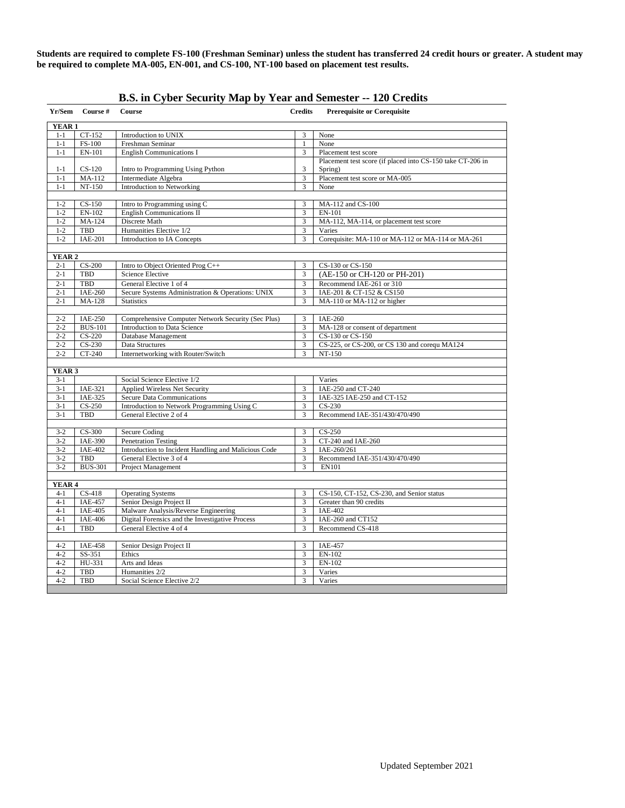**Students are required to complete FS-100 (Freshman Seminar) unless the student has transferred 24 credit hours or greater. A student may be required to complete MA-005, EN-001, and CS-100, NT-100 based on placement test results.**

| Yr/Sem             | Course #                                                                      | <b>Course</b>                                                 | <b>Credits</b>          | <b>Prerequisite or Corequisite</b>                         |  |  |  |  |
|--------------------|-------------------------------------------------------------------------------|---------------------------------------------------------------|-------------------------|------------------------------------------------------------|--|--|--|--|
| YEAR <sub>1</sub>  |                                                                               |                                                               |                         |                                                            |  |  |  |  |
| $1 - 1$            | CT-152                                                                        | Introduction to UNIX                                          | 3                       | None                                                       |  |  |  |  |
| $1 - 1$            | <b>FS-100</b>                                                                 | Freshman Seminar                                              | $\mathbf{1}$            | None                                                       |  |  |  |  |
| $1 - 1$            | EN-101                                                                        | <b>English Communications I</b>                               | 3                       | Placement test score                                       |  |  |  |  |
|                    |                                                                               |                                                               |                         | Placement test score (if placed into CS-150 take CT-206 in |  |  |  |  |
| $1 - 1$            | $CS-120$                                                                      | Intro to Programming Using Python                             | 3                       | Spring)                                                    |  |  |  |  |
| $1 - 1$            | MA-112                                                                        | Intermediate Algebra                                          | $\overline{\mathbf{3}}$ | Placement test score or MA-005                             |  |  |  |  |
| $1 - 1$            | NT-150                                                                        | <b>Introduction to Networking</b>                             | 3                       | None                                                       |  |  |  |  |
|                    |                                                                               |                                                               |                         |                                                            |  |  |  |  |
| $1 - 2$            | $CS-150$                                                                      | Intro to Programming using C                                  | 3                       | MA-112 and CS-100                                          |  |  |  |  |
| $1 - 2$            | EN-102                                                                        | English Communications II                                     | 3                       | EN-101                                                     |  |  |  |  |
| $1 - 2$            | MA-124<br><b>TBD</b>                                                          | Discrete Math                                                 | $\overline{3}$          | MA-112, MA-114, or placement test score<br>Varies          |  |  |  |  |
| $1 - 2$<br>$1-2$   | $IAE-201$                                                                     | Humanities Elective 1/2<br><b>Introduction to IA Concepts</b> | 3<br>$\overline{3}$     | Corequisite: MA-110 or MA-112 or MA-114 or MA-261          |  |  |  |  |
|                    |                                                                               |                                                               |                         |                                                            |  |  |  |  |
| YEAR <sub>2</sub>  |                                                                               |                                                               |                         |                                                            |  |  |  |  |
| $2 - 1$            | $CS-200$                                                                      | Intro to Object Oriented Prog C++                             | 3                       | CS-130 or CS-150                                           |  |  |  |  |
| $2 - 1$            | <b>TBD</b>                                                                    | <b>Science Elective</b>                                       | 3                       | (AE-150 or CH-120 or PH-201)                               |  |  |  |  |
| $2 - 1$            | <b>TBD</b>                                                                    | General Elective 1 of 4                                       | $\overline{3}$          | Recommend IAE-261 or 310                                   |  |  |  |  |
| $2 - 1$            | <b>IAE-260</b>                                                                | Secure Systems Administration & Operations: UNIX              | 3                       | IAE-201 & CT-152 & CS150                                   |  |  |  |  |
| $2 - 1$            | MA-128                                                                        | <b>Statistics</b>                                             | 3                       | MA-110 or MA-112 or higher                                 |  |  |  |  |
|                    |                                                                               |                                                               |                         |                                                            |  |  |  |  |
| $2 - 2$            | <b>IAE-250</b>                                                                | Comprehensive Computer Network Security (Sec Plus)            | 3                       | IAE-260                                                    |  |  |  |  |
| $2 - 2$            | <b>BUS-101</b>                                                                | Introduction to Data Science                                  | 3                       | MA-128 or consent of department                            |  |  |  |  |
| $2 - 2$            | $CS-220$                                                                      | Database Management                                           | $\overline{3}$          | CS-130 or CS-150                                           |  |  |  |  |
| $2 - 2$            | $CS-230$                                                                      | Data Structures                                               | 3                       | CS-225, or CS-200, or CS 130 and corequ MA124              |  |  |  |  |
| $2 - 2$            | CT-240                                                                        | Internetworking with Router/Switch                            | 3                       | NT-150                                                     |  |  |  |  |
|                    |                                                                               |                                                               |                         |                                                            |  |  |  |  |
| YEAR <sub>3</sub>  |                                                                               |                                                               |                         |                                                            |  |  |  |  |
| $3 - 1$            |                                                                               | Social Science Elective 1/2                                   |                         | Varies                                                     |  |  |  |  |
| $3-1$              | IAE-321                                                                       | Applied Wireless Net Security                                 | 3                       | IAE-250 and CT-240                                         |  |  |  |  |
| $3 - 1$            | IAE-325                                                                       | <b>Secure Data Communications</b>                             | $\overline{3}$          | IAE-325 IAE-250 and CT-152                                 |  |  |  |  |
| $3-1$              | $CS-250$                                                                      | Introduction to Network Programming Using C                   | 3                       | $CS-230$                                                   |  |  |  |  |
|                    | TBD<br>General Elective 2 of 4<br>3<br>Recommend IAE-351/430/470/490<br>$3-1$ |                                                               |                         |                                                            |  |  |  |  |
| $3 - 2$            | $CS-300$                                                                      | Secure Coding                                                 | 3                       | $CS-250$                                                   |  |  |  |  |
| $3 - 2$            | <b>IAE-390</b>                                                                | <b>Penetration Testing</b>                                    | $\overline{3}$          | CT-240 and IAE-260                                         |  |  |  |  |
| $3 - 2$            | <b>IAE-402</b>                                                                | Introduction to Incident Handling and Malicious Code          | 3                       | IAE-260/261                                                |  |  |  |  |
| $3 - 2$            | <b>TBD</b>                                                                    | General Elective 3 of 4                                       | 3                       | Recommend IAE-351/430/470/490                              |  |  |  |  |
| $3-2$              | <b>BUS-301</b>                                                                | Project Management                                            | 3                       | <b>EN101</b>                                               |  |  |  |  |
|                    |                                                                               |                                                               |                         |                                                            |  |  |  |  |
|                    | <b>YEAR 4</b>                                                                 |                                                               |                         |                                                            |  |  |  |  |
| $4 - 1$            | $CS-418$                                                                      | <b>Operating Systems</b>                                      | 3                       | CS-150, CT-152, CS-230, and Senior status                  |  |  |  |  |
| $4 - 1$            | <b>IAE-457</b>                                                                | Senior Design Project II                                      | 3                       | Greater than 90 credits                                    |  |  |  |  |
| $4 - 1$            | <b>IAE-405</b>                                                                | Malware Analysis/Reverse Engineering                          | 3                       | $IAE-402$                                                  |  |  |  |  |
| $4 - 1$            | <b>IAE-406</b>                                                                | Digital Forensics and the Investigative Process               | 3                       | IAE-260 and CT152                                          |  |  |  |  |
| $4 - 1$            | <b>TBD</b>                                                                    | General Elective 4 of 4                                       | 3                       | Recommend CS-418                                           |  |  |  |  |
|                    |                                                                               |                                                               |                         |                                                            |  |  |  |  |
| $4 - 2$            | <b>IAE-458</b>                                                                | Senior Design Project II                                      | 3                       | <b>IAE-457</b>                                             |  |  |  |  |
| $4 - 2$            | SS-351                                                                        | Ethics                                                        | 3                       | $EN-102$                                                   |  |  |  |  |
| $4 - 2$            | HU-331                                                                        | Arts and Ideas<br>Humanities 2/2                              | 3                       | EN-102                                                     |  |  |  |  |
| $4 - 2$<br>$4 - 2$ | <b>TBD</b><br><b>TBD</b>                                                      | Social Science Elective 2/2                                   | 3<br>3                  | Varies<br>Varies                                           |  |  |  |  |
|                    |                                                                               |                                                               |                         |                                                            |  |  |  |  |